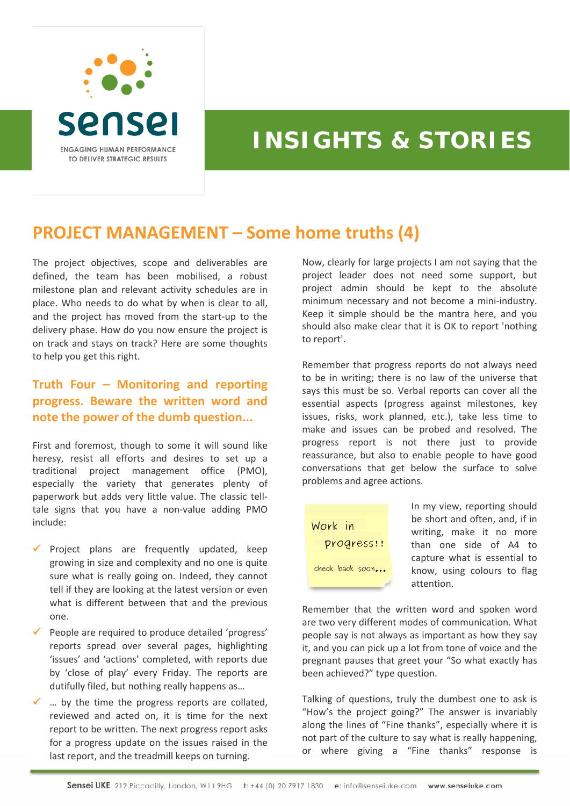

## **INSIGHTS & STORIES**

## **PROJECT MANAGEMENT – Some home truths (4)**

The project objectives, scope and deliverables are defined, the team has been mobilised, a robust milestone plan and relevant activity schedules are in place. Who needs to do what by when is clear to all, and the project has moved from the start‐up to the delivery phase. How do you now ensure the project is on track and stays on track? Here are some thoughts to help you get this right.

## **Truth Four – Monitoring and reporting progress. Beware the written word and note the power of the dumb question...**

First and foremost, though to some it will sound like heresy, resist all efforts and desires to set up a traditional project management office (PMO), especially the variety that generates plenty of paperwork but adds very little value. The classic tell‐ tale signs that you have a non‐value adding PMO include:

- $\checkmark$  Project plans are frequently updated, keep growing in size and complexity and no one is quite sure what is really going on. Indeed, they cannot tell if they are looking at the latest version or even what is different between that and the previous one.
- $\checkmark$  People are required to produce detailed 'progress' reports spread over several pages, highlighting 'issues' and 'actions' completed, with reports due by 'close of play' every Friday. The reports are dutifully filed, but nothing really happens as…
- $\checkmark$  ... by the time the progress reports are collated. reviewed and acted on, it is time for the next report to be written. The next progress report asks for a progress update on the issues raised in the last report, and the treadmill keeps on turning.

Now, clearly for large projects I am not saying that the project leader does not need some support, but project admin should be kept to the absolute minimum necessary and not become a mini‐industry. Keep it simple should be the mantra here, and you should also make clear that it is OK to report 'nothing to report'.

Remember that progress reports do not always need to be in writing; there is no law of the universe that says this must be so. Verbal reports can cover all the essential aspects (progress against milestones, key issues, risks, work planned, etc.), take less time to make and issues can be probed and resolved. The progress report is not there just to provide reassurance, but also to enable people to have good conversations that get below the surface to solve problems and agree actions.



In my view, reporting should be short and often, and, if in writing, make it no more than one side of A4 to capture what is essential to know, using colours to flag attention.

Remember that the written word and spoken word are two very different modes of communication. What people say is not always as important as how they say it, and you can pick up a lot from tone of voice and the pregnant pauses that greet your "So what exactly has been achieved?" type question.

Talking of questions, truly the dumbest one to ask is "How's the project going?" The answer is invariably along the lines of "Fine thanks", especially where it is not part of the culture to say what is really happening, or where giving a "Fine thanks" response is